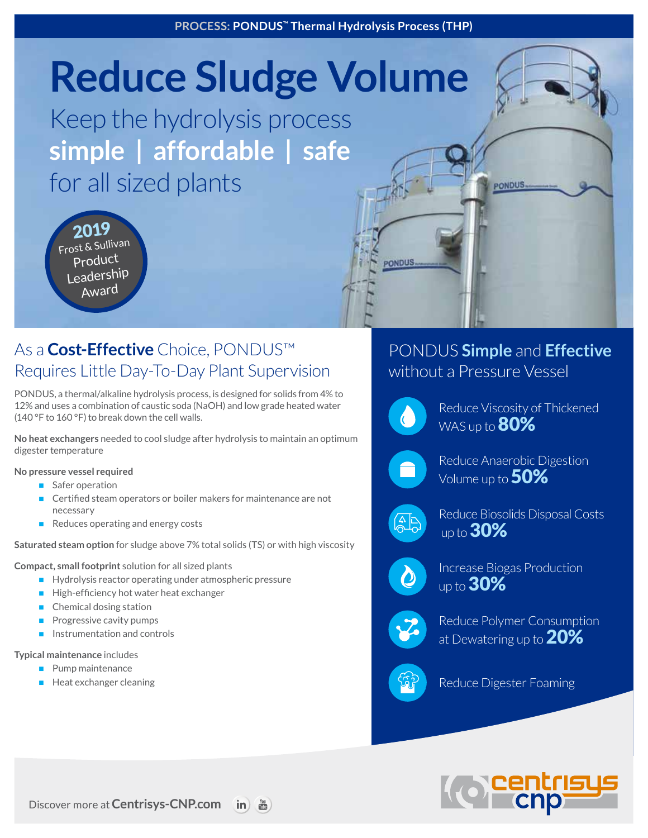# **Reduce Sludge Volume**

Keep the hydrolysis process **simple | affordable | safe** for all sized plants

2019 Frost & Sullivan Product Leadership Award

## As a **Cost-Effective** Choice, PONDUS™ Requires Little Day-To-Day Plant Supervision

PONDUS, a thermal/alkaline hydrolysis process, is designed for solids from 4% to 12% and uses a combination of caustic soda (NaOH) and low grade heated water (140 °F to 160 °F) to break down the cell walls.

**No heat exchangers** needed to cool sludge after hydrolysis to maintain an optimum digester temperature

**No pressure vessel required**

- Safer operation
- Certified steam operators or boiler makers for maintenance are not necessary
- $\blacksquare$  Reduces operating and energy costs

**Saturated steam option** for sludge above 7% total solids (TS) or with high viscosity

**Compact, small footprint** solution for all sized plants

- $\blacksquare$  Hydrolysis reactor operating under atmospheric pressure
- High-efficiency hot water heat exchanger
- Chemical dosing station
- Progressive cavity pumps
- Instrumentation and controls

**Typical maintenance** includes

- $\blacksquare$  Pump maintenance
- $\blacksquare$  Heat exchanger cleaning

## PONDUS **Simple** and **Effective**  without a Pressure Vessel

PONDUS



**PONDUS** 

Reduce Viscosity of Thickened WAS up to **80%** 



Reduce Anaerobic Digestion Volume up to 50%



Reduce Biosolids Disposal Costs up to  $30\%$ 



Increase Biogas Production up to **30%** 



Reduce Polymer Consumption at Dewatering up to 20%



Reduce Digester Foaming